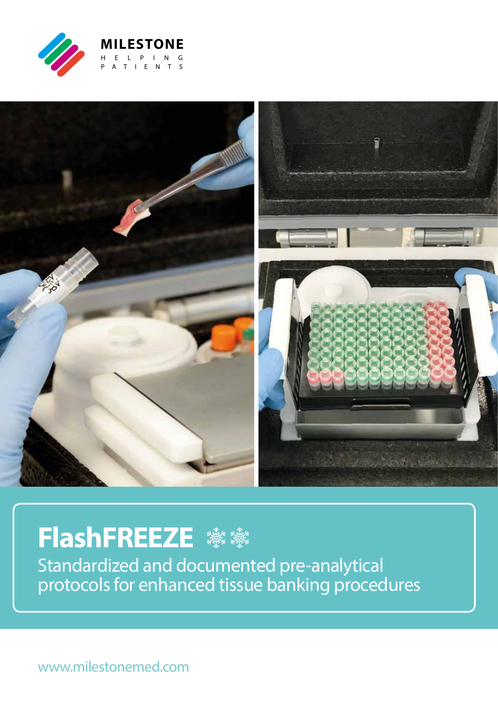



# **FlashFREEZE ※※※**

Standardized and documented pre-analytical protocols for enhanced tissue banking procedures

www.milestonemed.com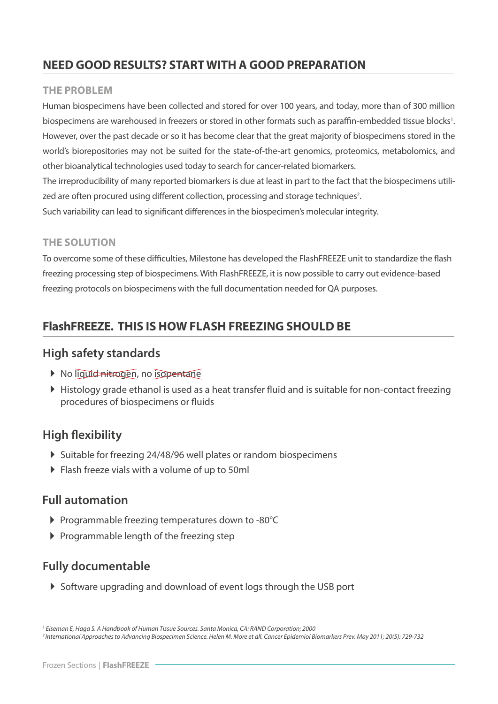### **NEED GOOD RESULTS? START WITH A GOOD PREPARATION**

#### **THE PROBLEM**

Human biospecimens have been collected and stored for over 100 years, and today, more than of 300 million biospecimens are warehoused in freezers or stored in other formats such as paraffin-embedded tissue blocks<sup>1</sup>. However, over the past decade or so it has become clear that the great majority of biospecimens stored in the world's biorepositories may not be suited for the state-of-the-art genomics, proteomics, metabolomics, and other bioanalytical technologies used today to search for cancer-related biomarkers.

The irreproducibility of many reported biomarkers is due at least in part to the fact that the biospecimens utilized are often procured using different collection, processing and storage techniques<sup>2</sup>.

Such variability can lead to significant differences in the biospecimen's molecular integrity.

### **THE SOLUTION**

To overcome some of these difficulties, Milestone has developed the FlashFREEZE unit to standardize the flash freezing processing step of biospecimens. With FlashFREEZE, it is now possible to carry out evidence-based freezing protocols on biospecimens with the full documentation needed for QA purposes.

### **FlashFREEZE. THIS IS HOW FLASH FREEZING SHOULD BE**

### **High safety standards**

- No liquid nitrogen, no isopentane
- Histology grade ethanol is used as a heat transfer fluid and is suitable for non-contact freezing procedures of biospecimens or fluids

### **High flexibility**

- Suitable for freezing 24/48/96 well plates or random biospecimens
- Flash freeze vials with a volume of up to 50ml

### **Full automation**

- Programmable freezing temperatures down to -80°C
- $\triangleright$  Programmable length of the freezing step

### **Fully documentable**

Software upgrading and download of event logs through the USB port

*2 International Approaches to Advancing Biospecimen Science. Helen M. More et all. Cancer Epidemiol Biomarkers Prev. May 2011; 20(5): 729-732 1 Eiseman E, Haga S. A Handbook of Human Tissue Sources. Santa Monica, CA: RAND Corporation; 2000*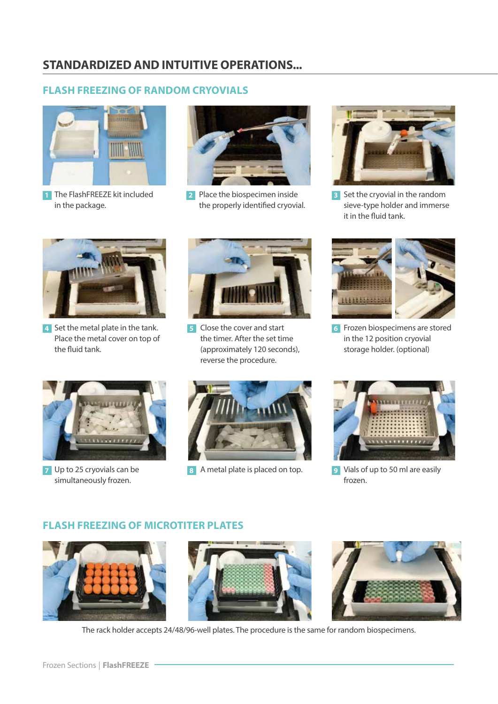### **FLASH FREEZING OF RANDOM CRYOVIALS**



1 The FlashFREEZE kit included in the package.



Place the biospecimen inside **2** the properly identified cryovial.



**3** Set the cryovial in the random sieve-type holder and immerse it in the fluid tank.



4 Set the metal plate in the tank. Place the metal cover on top of the fluid tank.



Close the cover and start the timer. After the set time (approximately 120 seconds), reverse the procedure. **5**



Frozen biospecimens are stored **6** in the 12 position cryovial storage holder. (optional)



Up to 25 cryovials can be **7** simultaneously frozen.



A metal plate is placed on top. **8**



Vials of up to 50 ml are easily **9**frozen.

#### **FLASH FREEZING OF MICROTITER PLATES**







The rack holder accepts 24/48/96-well plates. The procedure is the same for random biospecimens.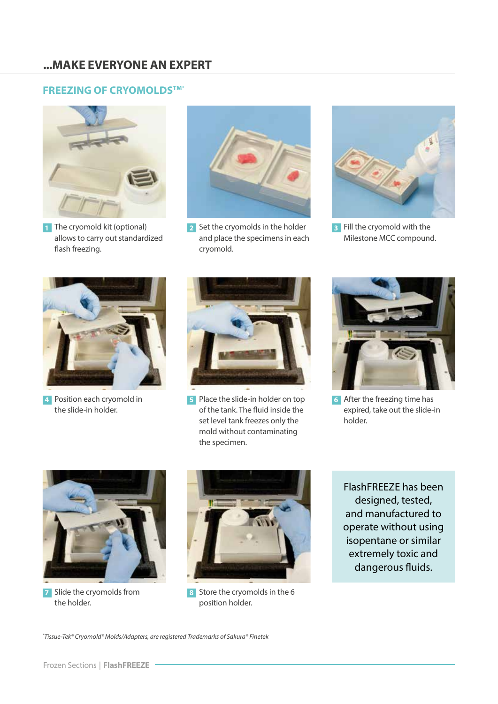### **FREEZING OF CRYOMOLDSTM\***



**1** The cryomold kit (optional) allows to carry out standardized flash freezing.



2 Set the cryomolds in the holder and place the specimens in each cryomold.



Fill the cryomold with the **3** Milestone MCC compound.



Position each cryomold in **4** the slide-in holder.



Place the slide-in holder on top **5** of the tank. The fluid inside the set level tank freezes only the mold without contaminating the specimen.



After the freezing time has **6** expired, take out the slide-in holder.



Slide the cryomolds from **7** the holder.



8 Store the cryomolds in the 6 position holder.

FlashFREEZE has been designed, tested, and manufactured to operate without using isopentane or similar extremely toxic and dangerous fluids.

*\* Tissue-Tek® Cryomold® Molds/Adapters, are registered Trademarks of Sakura® Finetek*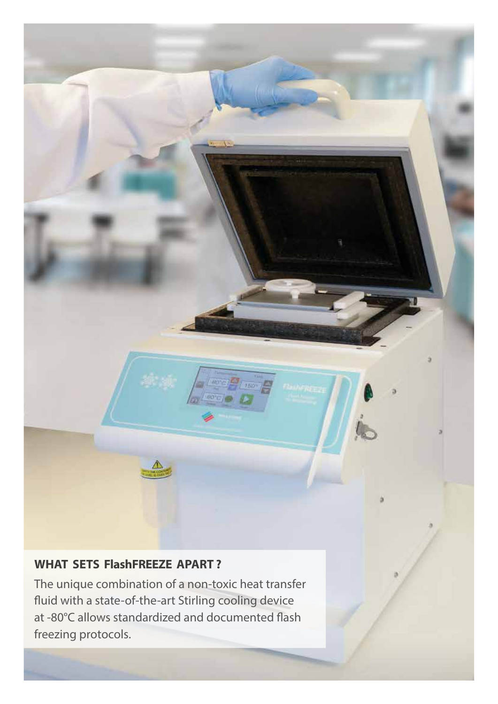### **WHAT SETS FlashFREEZE APART ?**

The unique combination of a non-toxic heat transfer fluid with a state-of-the-art Stirling cooling device at -80°C allows standardized and documented flash freezing protocols.

 $80^{\circ}$